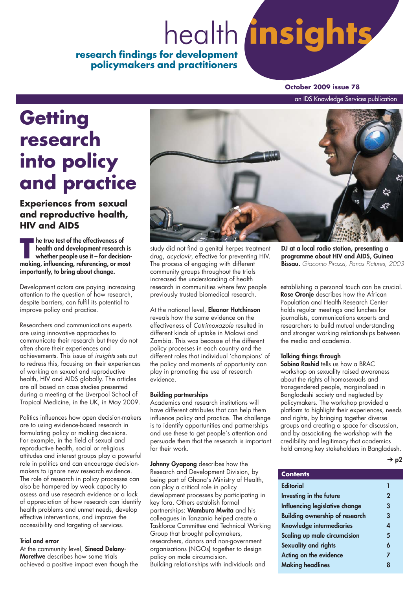# **insights research findings for development** health

**policymakers and practitioners**

#### **October 2009 issue 78**

an IDS Knowledge Services publication

# **Getting research into policy and practice**

**Experiences from sexual and reproductive health, HIV and AIDS**

**The true test of the effectiveness of<br>
the true test of the effectiveness of<br>
whether people use it – for decision-<br>
making influencing referencing or most health and development research is making, influencing, referencing, or most importantly, to bring about change.** 

Development actors are paying increasing attention to the question of how research, despite barriers, can fulfil its potential to improve policy and practice.

Researchers and communications experts are using innovative approaches to communicate their research but they do not often share their experiences and achievements. This issue of insights sets out to redress this, focusing on their experiences of working on sexual and reproductive health, HIV and AIDS globally. The articles are all based on case studies presented during a meeting at the Liverpool School of Tropical Medicine, in the UK, in May 2009.

Politics influences how open decision-makers are to using evidence-based research in formulating policy or making decisions. For example, in the field of sexual and reproductive health, social or religious attitudes and interest groups play a powerful role in politics and can encourage decisionmakers to ignore new research evidence. The role of research in policy processes can also be hampered by weak capacity to assess and use research evidence or a lack of appreciation of how research can identify health problems and unmet needs, develop effective interventions, and improve the accessibility and targeting of services.

#### **Trial and error**

At the community level, **Sinead Delany-Moretlwe** describes how some trials achieved a positive impact even though the



study did not find a genital herpes treatment drug, acyclovir, effective for preventing HIV. The process of engaging with different community groups throughout the trials increased the understanding of health research in communities where few people previously trusted biomedical research.

#### At the national level, **Eleanor Hutchinson** reveals how the same evidence on the effectiveness of Cotrimoxazole resulted in different kinds of uptake in Malawi and Zambia. This was because of the different policy processes in each country and the different roles that individual 'champions' of the policy and moments of opportunity can play in promoting the use of research evidence.

#### **Building partnerships**

Academics and research institutions will have different attributes that can help them influence policy and practice. The challenge is to identify opportunities and partnerships and use these to get people's attention and persuade them that the research is important for their work.

**Johnny Gyapong** describes how the Research and Development Division, by being part of Ghana's Ministry of Health, can play a critical role in policy development processes by participating in key fora. Others establish formal partnerships: **Wambura Mwita** and his colleagues in Tanzania helped create a Taskforce Committee and Technical Working Group that brought policymakers, researchers, donors and non-government organisations (NGOs) together to design policy on male circumcision. Building relationships with individuals and

**DJ at a local radio station, presenting a programme about HIV and AIDS, Guinea Bissau.** Giacomo Pirozzi, Panos Pictures, 2003

establishing a personal touch can be crucial. **Rose Oronje** describes how the African Population and Health Research Center holds regular meetings and lunches for journalists, communications experts and researchers to build mutual understanding and stronger working relationships between the media and academia.

#### **Talking things through**

**Sabina Rashid** tells us how a BRAC workshop on sexuality raised awareness about the rights of homosexuals and transgendered people, marginalised in Bangladeshi society and neglected by policymakers. The workshop provided a platform to highlight their experiences, needs and rights, by bringing together diverse groups and creating a space for discussion, and by associating the workshop with the credibility and legitimacy that academics hold among key stakeholders in Bangladesh.

| ł | ۹ |
|---|---|
|---|---|

| <b>Contents</b>                       |                  |
|---------------------------------------|------------------|
| <b>Editorial</b>                      | Π                |
| Investing in the future               | $\overline{2}$   |
| Influencing legislative change        | 3                |
| <b>Building ownership of research</b> | 3                |
| <b>Knowledge intermediaries</b>       | $\boldsymbol{A}$ |
| Scaling up male circumcision          | 5                |
| <b>Sexuality and rights</b>           | 6                |
| Acting on the evidence                | $\overline{7}$   |
| <b>Making headlines</b>               | 8                |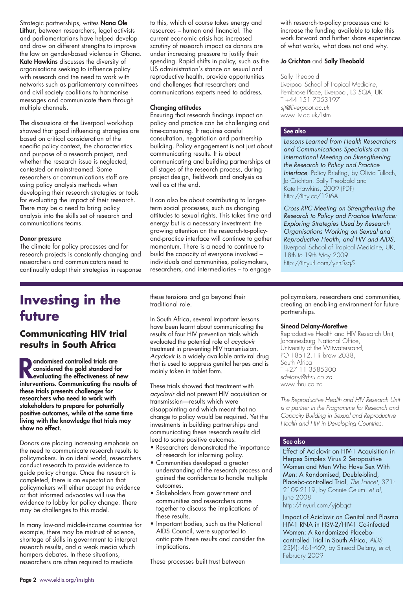Strategic partnerships, writes **Nana Ole Lithur**, between researchers, legal activists and parliamentarians have helped develop and draw on different strengths to improve the law on gender-based violence in Ghana. **Kate Hawkins** discusses the diversity of organisations seeking to influence policy with research and the need to work with networks such as parliamentary committees and civil society coalitions to harmonise messages and communicate them through multiple channels.

The discussions at the Liverpool workshop showed that good influencing strategies are based on critical consideration of the specific policy context, the characteristics and purpose of a research project, and whether the research issue is neglected, contested or mainstreamed. Some researchers or communications staff are using policy analysis methods when developing their research strategies or tools for evaluating the impact of their research. There may be a need to bring policy analysis into the skills set of research and communications teams.

#### **Donor pressure**

The climate for policy processes and for research projects is constantly changing and researchers and communicators need to continually adapt their strategies in response to this, which of course takes energy and resources – human and financial. The current economic crisis has increased scrutiny of research impact as donors are under increasing pressure to justify their spending. Rapid shifts in policy, such as the US administration's stance on sexual and reproductive health, provide opportunities and challenges that researchers and communications experts need to address.

#### **Changing attitudes**

Ensuring that research findings impact on policy and practice can be challenging and time-consuming. It requires careful consultation, negotiation and partnership building. Policy engagement is not just about communicating results. It is about communicating and building partnerships at all stages of the research process, during project design, fieldwork and analysis as well as at the end.

It can also be about contributing to longerterm social processes, such as changing attitudes to sexual rights. This takes time and energy but is a necessary investment: the growing attention on the research-to-policyand-practice interface will continue to gather momentum. There is a need to continue to build the capacity of everyone involved – individuals and communities, policymakers, researchers, and intermediaries – to engage

with research-to-policy processes and to increase the funding available to take this work forward and further share experiences of what works, what does not and why.

#### **Jo Crichton** and **Sally Theobald**

Sally Theobald Liverpool School of Tropical Medicine, Pembroke Place, Liverpool, L3 5QA, UK T +44 151 7053197 sjt@liverpool.ac.uk www.liv.ac.uk/lstm

#### **See also**

Lessons Learned from Health Researchers and Communications Specialists at an International Meeting on Strengthening the Research to Policy and Practice Interface, Policy Briefing, by Olivia Tulloch, Jo Crichton, Sally Theobald and Kate Hawkins, 2009 (PDF) http://tiny.cc/12t6A

Cross RPC Meeting on Strengthening the Research to Policy and Practice Interface: Exploring Strategies Used by Research Organisations Working on Sexual and Reproductive Health, and HIV and AIDS, Liverpool School of Tropical Medicine, UK, 18th to 19th May 2009 http://tinyurl.com/yzh5sq5

## **Investing in the future**

### **Communicating HIV trial results in South Africa**

**Randomised controlled trials are**<br> **evaluating the effectiveness of new**<br> **interventions** Communicating the results **considered the gold standard for interventions. Communicating the results of these trials presents challenges for researchers who need to work with stakeholders to prepare for potentially positive outcomes, while at the same time living with the knowledge that trials may show no effect.**

Donors are placing increasing emphasis on the need to communicate research results to policymakers. In an ideal world, researchers conduct research to provide evidence to guide policy change. Once the research is completed, there is an expectation that policymakers will either accept the evidence or that informed advocates will use the evidence to lobby for policy change. There may be challenges to this model.

In many low-and middle-income countries for example, there may be mistrust of science, shortage of skills in government to interpret research results, and a weak media which hampers debates. In these situations, researchers are often required to mediate

these tensions and go beyond their traditional role.

In South Africa, several important lessons have been learnt about communicating the results of four HIV prevention trials which evaluated the potential role of acyclovir treatment in preventing HIV transmission. Acyclovir is a widely available antiviral drug that is used to suppress genital herpes and is mainly taken in tablet form.

These trials showed that treatment with acyclovir did not prevent HIV acquisition or transmission—results which were disappointing and which meant that no change to policy would be required. Yet the investments in building partnerships and communicating these research results did lead to some positive outcomes.

- Researchers demonstrated the importance of research for informing policy.
- Communities developed a greater understanding of the research process and gained the confidence to handle multiple outcomes.
- Stakeholders from government and communities and researchers came together to discuss the implications of these results.
- Important bodies, such as the National AIDS Council, were supported to anticipate these results and consider the implications.

These processes built trust between

policymakers, researchers and communities, creating an enabling environment for future partnerships.

#### **Sinead Delany-Moretlwe**

Reproductive Health and HIV Research Unit, Johannesburg National Office, University of the Witwatersrand, PO 18512, Hillbrow 2038, South Africa T +27 11 3585300 sdelany@rhru.co.za www.rhru.co.za

The Reproductive Health and HIV Research Unit is a partner in the Programme for Research and Capacity Building in Sexual and Reproductive Health and HIV in Developing Countries.

#### **See also**

Effect of Aciclovir on HIV-1 Acquisition in Herpes Simplex Virus 2 Seropositive Women and Men Who Have Sex With Men: A Randomised, Double-blind, Placebo-controlled Trial, The Lancet, 371: 2109-2119, by Connie Celum, et al, June 2008 http://tinyurl.com/yj6bqct

Impact of Aciclovir on Genital and Plasma HIV-1 RNA in HSV-2/HIV-1 Co-infected Women: A Randomized Placebocontrolled Trial in South Africa, AIDS, 23(4): 461-469, by Sinead Delany, et al, February 2009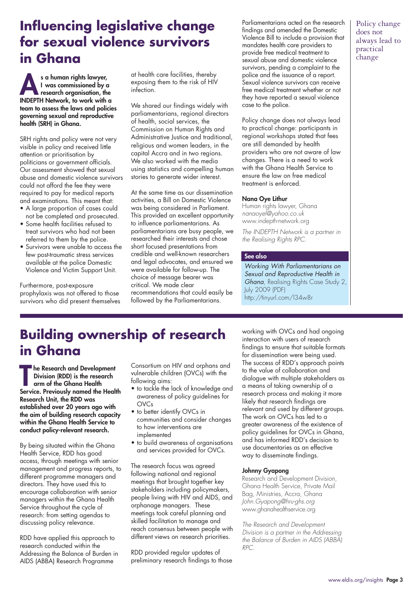## **Influencing legislative change for sexual violence survivors in Ghana**

**As a human rights lawyer, I was commissioned by a research organisation, the INDEPTH Network, to work with a team to assess the laws and policies governing sexual and reproductive health (SRH) in Ghana.**

SRH rights and policy were not very visible in policy and received little attention or prioritisation by politicians or government officials. Our assessment showed that sexual abuse and domestic violence survivors could not afford the fee they were required to pay for medical reports and examinations. This meant that:

- A large proportion of cases could not be completed and prosecuted.
- Some health facilities refused to treat survivors who had not been referred to them by the police.
- Survivors were unable to access the few post-traumatic stress services available at the police Domestic Violence and Victim Support Unit.

Furthermore, post-exposure prophylaxis was not offered to those survivors who did present themselves at health care facilities, thereby exposing them to the risk of HIV infection.

We shared our findings widely with parliamentarians, regional directors of health, social services, the Commission on Human Rights and Administrative Justice and traditional, religious and women leaders, in the capital Accra and in two regions. We also worked with the media using statistics and compelling human stories to generate wider interest.

At the same time as our dissemination activities, a Bill on Domestic Violence was being considered in Parliament. This provided an excellent opportunity to influence parliamentarians. As parliamentarians are busy people, we researched their interests and chose short focused presentations from credible and well-known researchers and legal advocates, and ensured we were available for follow-up. The choice of message bearer was critical. We made clear recommendations that could easily be followed by the Parliamentarians.

Parliamentarians acted on the research findings and amended the Domestic Violence Bill to include a provision that mandates health care providers to provide free medical treatment to sexual abuse and domestic violence survivors, pending a complaint to the police and the issuance of a report. Sexual violence survivors can receive free medical treatment whether or not they have reported a sexual violence case to the police.

Policy change does not always lead to practical change: participants in regional workshops stated that fees are still demanded by health providers who are not aware of law changes. There is a need to work with the Ghana Health Service to ensure the law on free medical treatment is enforced.

#### **Nana Oye Lithur**

Human rights lawyer, Ghana nanaoyel@yahoo.co.uk www.indepth-network.org

The INDEPTH Network is a partner in the Realising Rights RPC.

#### **See also**

Working With Parliamentarians on Sexual and Reproductive Health in Ghana, Realising Rights Case Study 2, July 2009 (PDF) http://tinyurl.com/l34w8r

## **Building ownership of research in Ghana**

**The Research and Development<br>
Division (RDD) is the research<br>
arm of the Ghana Health<br>
Service. Previously named the Health he Research and Development Division (RDD) is the research arm of the Ghana Health Research Unit, the RDD was established over 20 years ago with the aim of building research capacity within the Ghana Health Service to conduct policy-relevant research.**

By being situated within the Ghana Health Service, RDD has good access, through meetings with senior management and progress reports, to different programme managers and directors. They have used this to encourage collaboration with senior managers within the Ghana Health Service throughout the cycle of research: from setting agendas to discussing policy relevance.

RDD have applied this approach to research conducted within the Addressing the Balance of Burden in AIDS (ABBA) Research Programme

Consortium on HIV and orphans and vulnerable children (OVCs) with the following aims:

- to tackle the lack of knowledge and awareness of policy guidelines for OVCs
- to better identify OVCs in communities and consider changes to how interventions are implemented
- to build awareness of organisations and services provided for OVCs.

The research focus was agreed following national and regional meetings that brought together key stakeholders including policymakers, people living with HIV and AIDS, and orphanage managers. These meetings took careful planning and skilled facilitation to manage and reach consensus between people with different views on research priorities.

RDD provided regular updates of preliminary research findings to those working with OVCs and had ongoing interaction with users of research findings to ensure that suitable formats for dissemination were being used. The success of RDD's approach points to the value of collaboration and dialogue with multiple stakeholders as a means of taking ownership of a research process and making it more likely that research findings are relevant and used by different groups. The work on OVCs has led to a greater awareness of the existence of policy guidelines for OVCs in Ghana, and has informed RDD's decision to use documentaries as an effective way to disseminate findings.

#### **Johnny Gyapong**

Research and Development Division, Ghana Health Service, Private Mail Bag, Ministries, Accra, Ghana John.Gyapong@hru-ghs.org www.ghanahealthservice.org

The Research and Development Division is a partner in the Addressing the Balance of Burden in AIDS (ABBA) RPC.

Policy change does not always lead to practical change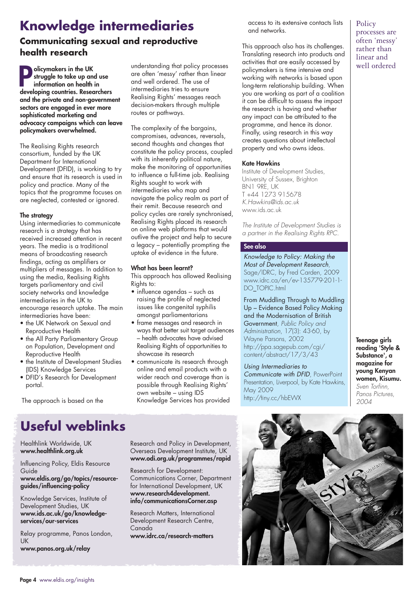# **Knowledge intermediaries**

## **Communicating sexual and reproductive health research**

**P olicymakers in the UK struggle to take up and use information on health in developing countries. Researchers and the private and non-government sectors are engaged in ever more sophisticated marketing and advocacy campaigns which can leave policymakers overwhelmed.**

The Realising Rights research consortium, funded by the UK Department for International Development (DFID), is working to try and ensure that its research is used in policy and practice. Many of the topics that the programme focuses on are neglected, contested or ignored.

#### **The strategy**

Using intermediaries to communicate research is a strategy that has received increased attention in recent years. The media is a traditional means of broadcasting research findings, acting as amplifiers or multipliers of messages. In addition to using the media, Realising Rights targets parliamentary and civil society networks and knowledge intermediaries in the UK to encourage research uptake. The main intermediaries have been:

- the UK Network on Sexual and Reproductive Health
- the All Party Parliamentary Group on Population, Development and Reproductive Health
- the Institute of Development Studies (IDS) Knowledge Services
- DFID's Research for Development portal.

The approach is based on the

understanding that policy processes are often 'messy' rather than linear and well ordered. The use of intermediaries tries to ensure Realising Rights' messages reach decision-makers through multiple routes or pathways.

The complexity of the bargains, compromises, advances, reversals, second thoughts and changes that constitute the policy process, coupled with its inherently political nature, make the monitoring of opportunities to influence a full-time job. Realising Rights sought to work with intermediaries who map and navigate the policy realm as part of their remit. Because research and policy cycles are rarely synchronised, Realising Rights placed its research on online web platforms that would outlive the project and help to secure a legacy – potentially prompting the uptake of evidence in the future.

#### **What has been learnt?**

This approach has allowed Realising Rights to:

- influence agendas such as raising the profile of neglected issues like congenital syphilis amongst parliamentarians
- frame messages and research in ways that better suit target audiences – health advocates have advised Realising Rights of opportunities to showcase its research
- communicate its research through online and email products with a wider reach and coverage than is possible through Realising Rights' own website – using IDS Knowledge Services has provided

access to its extensive contacts lists and networks.

This approach also has its challenges. Translating research into products and activities that are easily accessed by policymakers is time intensive and working with networks is based upon long-term relationship building. When you are working as part of a coalition it can be difficult to assess the impact the research is having and whether any impact can be attributed to the programme, and hence its donor. Finally, using research in this way creates questions about intellectual property and who owns ideas.

#### **Kate Hawkins**

Institute of Development Studies, University of Sussex, Brighton BN1 9RE, UK T +44 1273 915678 K.Hawkins@ids.ac.uk www.ids.ac.uk

The Institute of Development Studies is a partner in the Realising Rights RPC.

#### **See also**

Knowledge to Policy: Making the Most of Development Research, Sage/IDRC, by Fred Carden, 2009 www.idrc.ca/en/ev-135779-201-1- DO\_TOPIC.html

From Muddling Through to Muddling Up – Evidence Based Policy Making and the Modernisation of British Government, Public Policy and Administration, 17(3): 43-60, by Wayne Parsons, 2002 http://ppa.sagepub.com/cgi/ content/abstract/17/3/43

Using Intermediaries to Communicate with DFID, PowerPoint Presentation, Liverpool, by Kate Hawkins, May 2009 http://tiny.cc/hbEWX

**Teenage girls reading 'Style & Substance', a magazine for young Kenyan women, Kisumu.** Sven Torfinn, Panos Pictures, 2004

# **Useful weblinks**

Healthlink Worldwide, UK **www.healthlink.org.uk**

Influencing Policy, Eldis Resource Guide **www.eldis.org/go/topics/resourceguides/influencing-policy**

Knowledge Services, Institute of Development Studies, UK **www.ids.ac.uk/go/knowledgeservices/our-services**

Relay programme, Panos London, UK

**www.panos.org.uk/relay**

Research and Policy in Development, Overseas Development Institute, UK **www.odi.org.uk/programmes/rapid**

Research for Development: Communications Corner, Department for International Development, UK **www.research4development. info/communicationsCorner.asp**

Research Matters, International Development Research Centre, Canada **www.idrc.ca/research-matters**



**Policy** processes are often 'messy' rather than linear and well ordered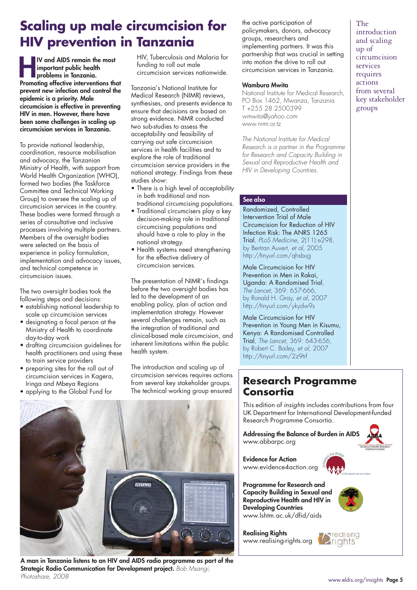# **Scaling up male circumcision for HIV prevention in Tanzania**

**HV** and AIDS remain the most<br>
important public health<br>
problems in Tanzania.<br>
Promoting effective interventions that **important public health problems in Tanzania. prevent new infection and control the epidemic is a priority. Male circumcision is effective in preventing HIV in men. However, there have been some challenges in scaling up circumcision services in Tanzania.**

To provide national leadership, coordination, resource mobilisation and advocacy, the Tanzanian Ministry of Health, with support from World Health Organization (WHO), formed two bodies (the Taskforce Committee and Technical Working Group) to oversee the scaling up of circumcision services in the country. These bodies were formed through a series of consultative and inclusive processes involving multiple partners. Members of the oversight bodies were selected on the basis of experience in policy formulation, implementation and advocacy issues, and technical competence in circumcision issues.

The two oversight bodies took the following steps and decisions:

- establishing national leadership to scale up circumcision services
- designating a focal person at the Ministry of Health to coordinate day-to-day work
- drafting circumcision guidelines for health practitioners and using these to train service providers
- preparing sites for the roll out of circumcision services in Kagera, Iringa and Mbeya Regions
- applying to the Global Fund for

HIV, Tuberculosis and Malaria for funding to roll out male circumcision services nationwide.

Tanzania's National Institute for Medical Research (NIMR) reviews, synthesises, and presents evidence to ensure that decisions are based on strong evidence. NIMR conducted two sub-studies to assess the acceptability and feasibility of carrying out safe circumcision services in health facilities and to explore the role of traditional circumcision service providers in the national strategy. Findings from these studies show:

- There is a high level of acceptability in both traditional and nontraditional circumcising populations.
- Traditional circumcisers play a key decision-making role in traditional circumcising populations and should have a role to play in the national strategy.
- Health systems need strengthening for the effective delivery of circumcision services.

The presentation of NIMR's findings before the two oversight bodies has led to the development of an enabling policy, plan of action and implementation strategy. However several challenges remain, such as the integration of traditional and clinical-based male circumcision, and inherent limitations within the public health system.

The introduction and scaling up of circumcision services requires actions from several key stakeholder groups. The technical working group ensured



**A man in Tanzania listens to an HIV and AIDS radio programme as part of the Strategic Radio Communication for Development project.** Bob Msangi, Photoshare, 2008

the active participation of policymakers, donors, advocacy groups, researchers and implementing partners. It was this partnership that was crucial in setting into motion the drive to roll out circumcision services in Tanzania.

#### **Wambura Mwita**

National Institute for Medical Research, PO Box 1462, Mwanza, Tanzania T +255 28 2500399 wmwita@yahoo.com www.nimr.or.tz

The National Institute for Medical Research is a partner in the Programme for Research and Capacity Building in Sexual and Reproductive Health and HIV in Developing Countries.

#### **See also**

Randomized, Controlled Intervention Trial of Male Circumcision for Reduction of HIV Infection Risk: The ANRS 1265 Trial, PLoS Medicine, 2(11):e298, by Bertran Auvert, et al, 2005 http://tinyurl.com/qhsbug

Male Circumcision for HIV Prevention in Men in Rakai, Uganda: A Randomised Trial, The Lancet, 369: 657-666, by Ronald H. Gray, et al, 2007 http://tinyurl.com/ykydw9s

Male Circumcision for HIV Prevention in Young Men in Kisumu, Kenya: A Randomised Controlled Trial, The Lancet, 369: 643-656, by Robert C. Bailey, et al, 2007 http://tinyurl.com/2z9trf

## **Research Programme Consortia**

This edition of insights includes contributions from four UK Department for International Development-funded Research Programme Consortia.

**Addressing the Balance of Burden in AIDS** www.abbarpc.org



**Evidence for Action** www.evidence4action.org

**Programme for Research and Capacity Building in Sexual and Reproductive Health and HIV in Developing Countries** www.lshtm.ac.uk/dfid/aids

**Realising Rights** www.realising-rights.org



*realising* **Zrights** 

The introduction and scaling up of circumcision services requires actions from several key stakeholder groups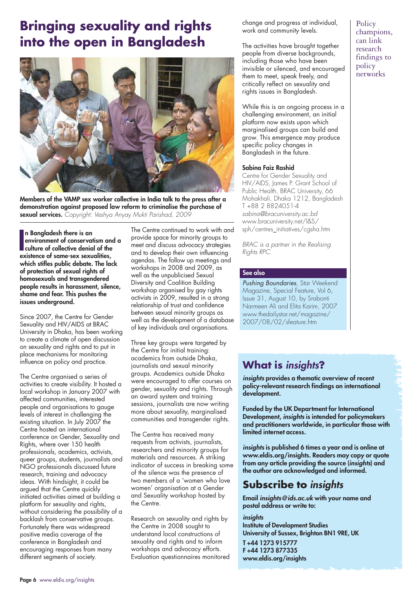# **Bringing sexuality and rights into the open in Bangladesh**



**Members of the VAMP sex worker collective in India talk to the press after a demonstration against proposed law reform to criminalise the purchase of sexual services.** Copyright: Veshya Anyay Mukti Parishad, 2009

**I** environment of conservatism and culture of collective denial of the existence of same-sex sexualities, **n Bangladesh there is an environment of conservatism and a culture of collective denial of the which stifles public debate. The lack of protection of sexual rights of homosexuals and transgendered people results in harassment, silence, shame and fear. This pushes the issues underground.**

Since 2007, the Centre for Gender Sexuality and HIV/AIDS at BRAC University in Dhaka, has been working to create a climate of open discussion on sexuality and rights and to put in place mechanisms for monitoring influence on policy and practice.

The Centre organised a series of activities to create visibility. It hosted a local workshop in January 2007 with affected communities, interested people and organisations to gauge levels of interest in challenging the existing situation. In July 2007 the Centre hosted an international conference on Gender, Sexuality and Rights, where over 150 health professionals, academics, activists, queer groups, students, journalists and NGO professionals discussed future research, training and advocacy ideas. With hindsight, it could be argued that the Centre quickly initiated activities aimed at building a platform for sexuality and rights, without considering the possibility of a backlash from conservative groups. Fortunately there was widespread positive media coverage of the conference in Bangladesh and encouraging responses from many different segments of society.

The Centre continued to work with and provide space for minority groups to meet and discuss advocacy strategies and to develop their own influencing agendas. The follow up meetings and workshops in 2008 and 2009, as well as the unpublicised Sexual Diversity and Coalition Building workshop organised by gay rights activists in 2009, resulted in a strong relationship of trust and confidence between sexual minority groups as well as the development of a database of key individuals and organisations.

Three key groups were targeted by the Centre for initial training: academics from outside Dhaka, journalists and sexual minority groups. Academics outside Dhaka were encouraged to offer courses on gender, sexuality and rights. Through an award system and training sessions, journalists are now writing more about sexuality, marginalised communities and transgender rights.

The Centre has received many requests from activists, journalists, researchers and minority groups for materials and resources. A striking indicator of success in breaking some of the silence was the presence of two members of a 'women who love women' organisation at a Gender and Sexuality workshop hosted by the Centre.

Research on sexuality and rights by the Centre in 2008 sought to understand local constructions of sexuality and rights and to inform workshops and advocacy efforts. Evaluation questionnaires monitored change and progress at individual, work and community levels.

The activities have brought together people from diverse backgrounds, including those who have been invisible or silenced, and encouraged them to meet, speak freely, and critically reflect on sexuality and rights issues in Bangladesh.

While this is an ongoing process in a challenging environment, an initial platform now exists upon which marginalised groups can build and grow. This emergence may produce specific policy changes in Bangladesh in the future.

#### **Sabina Faiz Rashid**

Centre for Gender Sexuality and HIV/AIDS, James P. Grant School of Public Health, BRAC University, 66 Mohakhali, Dhaka 1212, Bangladesh T +88 2 8824051-4 sabina@bracuniversity.ac.bd www.bracuniversity.net/I&S/ sph/centres\_initiatives/cgsha.htm

BRAC is a partner in the Realising Rights RPC.

#### **See also**

Pushing Boundaries, Star Weekend Magazine, Special Feature, Vol 6, Issue 31, August 10, by Srabonti Narmeen Ali and Elita Karim, 2007 www.thedailystar.net/magazine/ 2007/08/02/sfeature.htm

## **What is insights?**

**insights provides a thematic overview of recent policy-relevant research findings on international development.** 

**Funded by the UK Department for International Development, insights is intended for policymakers and practitioners worldwide, in particular those with limited internet access.**

**insights is published 6 times a year and is online at www.eldis.org/insights. Readers may copy or quote from any article providing the source (insights) and the author are acknowledged and informed.** 

## **Subscribe to insights**

**Email insights@ids.ac.uk with your name and postal address or write to:**

#### **insights**

**Institute of Development Studies University of Sussex, Brighton BN1 9RE, UK**

**T +44 1273 915777 F +44 1273 877335 www.eldis.org/insights**

**Policy** champions, can link research findings to policy networks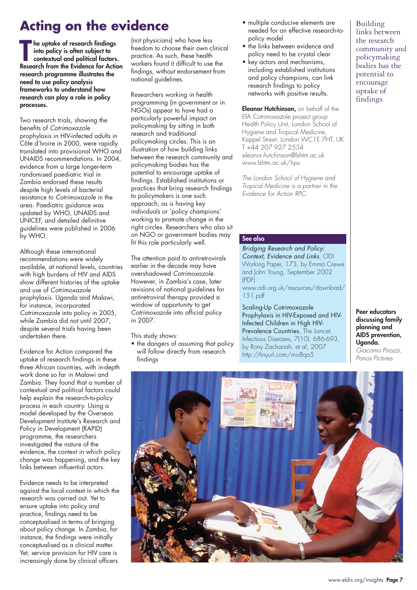# **Acting on the evidence**

**The uptake of research findings<br>
into policy is often subject to<br>
contextual and political factors.<br>
Research from the Evidence for Action he uptake of research findings into policy is often subject to contextual and political factors. research programme illustrates the need to use policy analysis frameworks to understand how research can play a role in policy processes.**

Two research trials, showing the benefits of Cotrimoxazole prophylaxis in HIV-infected adults in Côte d'Ivoire in 2000, were rapidly translated into provisional WHO and UNAIDS recommendations. In 2004, evidence from a large longer-term randomised paediatric trial in Zambia endorsed these results despite high levels of bacterial resistance to Cotrimoxazole in the area. Paediatric guidance was updated by WHO, UNAIDS and UNICEF, and detailed definitive guidelines were published in 2006 by WHO.

Although these international recommendations were widely available, at national levels, countries with high burdens of HIV and AIDS show different histories of the uptake and use of Cotrimoxazole prophylaxis. Uganda and Malawi, for instance, incorporated Cotrimoxazole into policy in 2005, while Zambia did not until 2007, despite several trials having been undertaken there.

Evidence for Action compared the uptake of research findings in these three African countries, with in-depth work done so far in Malawi and Zambia. They found that a number of contextual and political factors could help explain the research-to-policy process in each country. Using a model developed by the Overseas Development Institute's Research and Policy in Development (RAPID) programme, the researchers investigated the nature of the evidence, the context in which policy change was happening, and the key links between influential actors.

Evidence needs to be interpreted against the local context in which the research was carried out. Yet to ensure uptake into policy and practice, findings need to be conceptualised in terms of bringing about policy change. In Zambia, for instance, the findings were initially conceptualised as a clinical matter. Yet, service provision for HIV care is increasingly done by clinical officers

(not physicians) who have less freedom to choose their own clinical practice. As such, these health workers found it difficult to use the findings, without endorsement from national guidelines.

Researchers working in health programming (in government or in NGOs) appear to have had a particularly powerful impact on policymaking by sitting in both research and traditional policymaking circles. This is an illustration of how building links between the research community and policymaking bodies has the potential to encourage uptake of findings. Established institutions or practices that bring research findings to policymakers is one such approach, as is having key individuals or 'policy champions' working to promote change in the right circles. Researchers who also sit on NGO or government bodies may fit this role particularly well.

The attention paid to antiretrovirals earlier in the decade may have overshadowed Cotrimoxazole. However, in Zambia's case, later revisions of national guidelines for antiretroviral therapy provided a window of opportunity to get Cotrimoxazole into official policy in 2007.

This study shows:

• the dangers of assuming that policy will follow directly from research findings

- multiple conducive elements are needed for an effective research-topolicy model
- the links between evidence and policy need to be crystal clear
- key actors and mechanisms, including established institutions and policy champions, can link research findings to policy networks with positive results.

**Eleanor Hutchinson,** on behalf of the EfA Cotrimoxazole project group Health Policy Unit, London School of Hygiene and Tropical Medicine, Keppel Street, London WC1E 7HT, UK T +44 207 927 2534 eleanor.hutchinson@lshtm.ac.uk www.lshtm.ac.uk/hpu

The London School of Hygiene and Tropical Medicine is a partner in the Evidence for Action RPC.

#### **See also**

Bridging Research and Policy: Context, Evidence and Links, ODI Working Paper, 173, by Emma Crewe and John Young, September 2002 (PDF) www.odi.org.uk/resources/download/

151.pdf

Scaling-Up Cotrimoxazole Prophylaxis in HIV-Exposed and HIV-Infected Children in High HIV-Prevalence Countries, The Lancet Infectious Diseases, 7(10): 686-693, by Rony Zachariah, et al, 2007 http://tinyurl.com/mo8qa5

**Peer educators discussing family planning and AIDS prevention, Uganda.** Giacomo Pirozzi, Panos Pictures



Building links between the research community and policymaking bodies has the potential to encourage uptake of findings